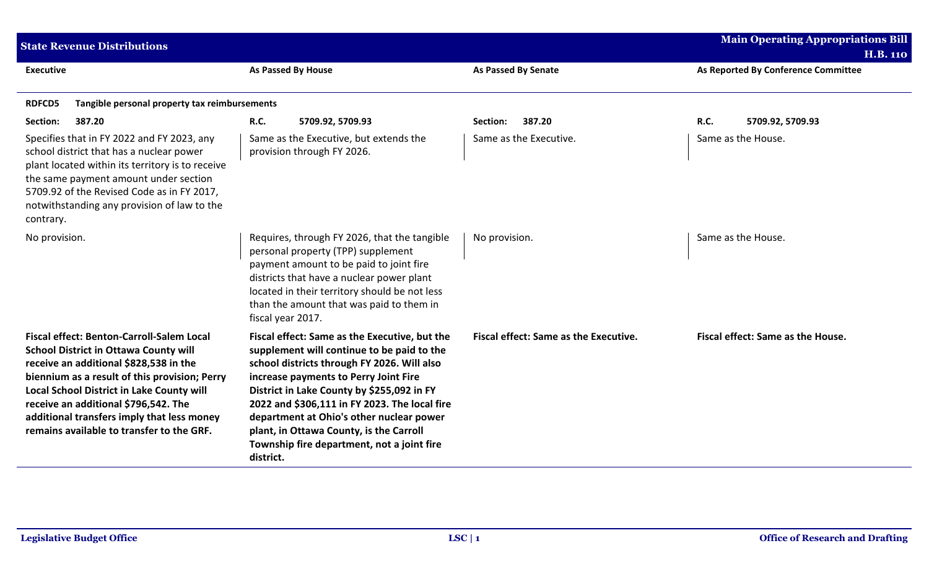| <b>State Revenue Distributions</b>                                                                                                                                                                                                                                                                                                                                          |                                                                                                                                                                                                                                                                                                                                                                                                                                      |                                       | <b>Main Operating Appropriations Bill</b> |
|-----------------------------------------------------------------------------------------------------------------------------------------------------------------------------------------------------------------------------------------------------------------------------------------------------------------------------------------------------------------------------|--------------------------------------------------------------------------------------------------------------------------------------------------------------------------------------------------------------------------------------------------------------------------------------------------------------------------------------------------------------------------------------------------------------------------------------|---------------------------------------|-------------------------------------------|
|                                                                                                                                                                                                                                                                                                                                                                             |                                                                                                                                                                                                                                                                                                                                                                                                                                      |                                       | <b>H.B. 110</b>                           |
| <b>Executive</b>                                                                                                                                                                                                                                                                                                                                                            | <b>As Passed By House</b>                                                                                                                                                                                                                                                                                                                                                                                                            | <b>As Passed By Senate</b>            | As Reported By Conference Committee       |
| Tangible personal property tax reimbursements<br><b>RDFCD5</b>                                                                                                                                                                                                                                                                                                              |                                                                                                                                                                                                                                                                                                                                                                                                                                      |                                       |                                           |
| Section:<br>387.20                                                                                                                                                                                                                                                                                                                                                          | <b>R.C.</b><br>5709.92, 5709.93                                                                                                                                                                                                                                                                                                                                                                                                      | 387.20<br>Section:                    | R.C.<br>5709.92, 5709.93                  |
| Specifies that in FY 2022 and FY 2023, any<br>school district that has a nuclear power<br>plant located within its territory is to receive<br>the same payment amount under section<br>5709.92 of the Revised Code as in FY 2017,<br>notwithstanding any provision of law to the<br>contrary.                                                                               | Same as the Executive, but extends the<br>provision through FY 2026.                                                                                                                                                                                                                                                                                                                                                                 | Same as the Executive.                | Same as the House.                        |
| No provision.                                                                                                                                                                                                                                                                                                                                                               | Requires, through FY 2026, that the tangible<br>personal property (TPP) supplement<br>payment amount to be paid to joint fire<br>districts that have a nuclear power plant<br>located in their territory should be not less<br>than the amount that was paid to them in<br>fiscal year 2017.                                                                                                                                         | No provision.                         | Same as the House.                        |
| <b>Fiscal effect: Benton-Carroll-Salem Local</b><br><b>School District in Ottawa County will</b><br>receive an additional \$828,538 in the<br>biennium as a result of this provision; Perry<br>Local School District in Lake County will<br>receive an additional \$796,542. The<br>additional transfers imply that less money<br>remains available to transfer to the GRF. | Fiscal effect: Same as the Executive, but the<br>supplement will continue to be paid to the<br>school districts through FY 2026. Will also<br>increase payments to Perry Joint Fire<br>District in Lake County by \$255,092 in FY<br>2022 and \$306,111 in FY 2023. The local fire<br>department at Ohio's other nuclear power<br>plant, in Ottawa County, is the Carroll<br>Township fire department, not a joint fire<br>district. | Fiscal effect: Same as the Executive. | Fiscal effect: Same as the House.         |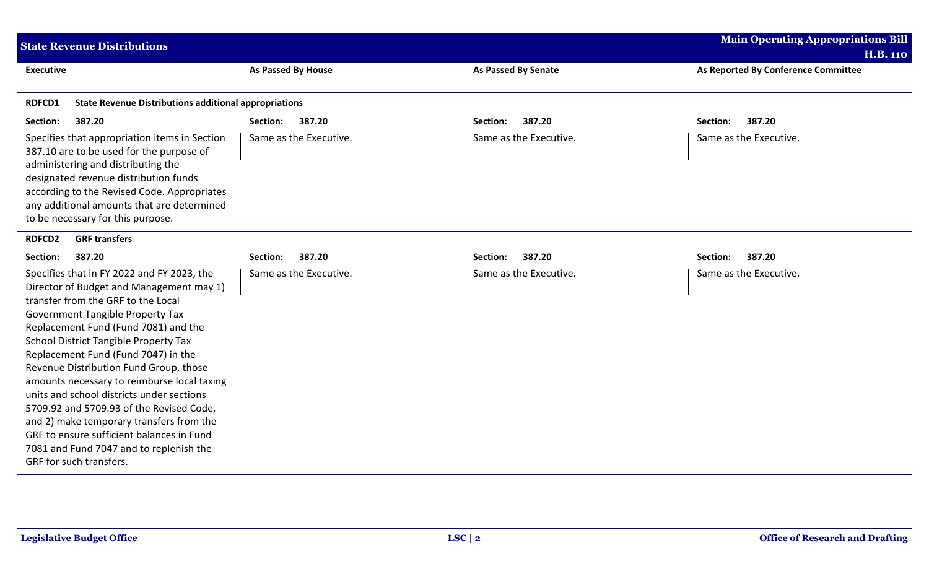| <b>State Revenue Distributions</b>                                                                                                                                                                                                                                                                                                                                                                                                                                                                                                                                                                                                                      |                           |                            | <b>Main Operating Appropriations Bill</b> |  |
|---------------------------------------------------------------------------------------------------------------------------------------------------------------------------------------------------------------------------------------------------------------------------------------------------------------------------------------------------------------------------------------------------------------------------------------------------------------------------------------------------------------------------------------------------------------------------------------------------------------------------------------------------------|---------------------------|----------------------------|-------------------------------------------|--|
|                                                                                                                                                                                                                                                                                                                                                                                                                                                                                                                                                                                                                                                         |                           |                            | <b>H.B. 110</b>                           |  |
| <b>Executive</b>                                                                                                                                                                                                                                                                                                                                                                                                                                                                                                                                                                                                                                        | <b>As Passed By House</b> | <b>As Passed By Senate</b> | As Reported By Conference Committee       |  |
| <b>RDFCD1</b><br><b>State Revenue Distributions additional appropriations</b>                                                                                                                                                                                                                                                                                                                                                                                                                                                                                                                                                                           |                           |                            |                                           |  |
| Section:<br>387.20                                                                                                                                                                                                                                                                                                                                                                                                                                                                                                                                                                                                                                      | 387.20<br>Section:        | 387.20<br>Section:         | 387.20<br>Section:                        |  |
| Specifies that appropriation items in Section<br>387.10 are to be used for the purpose of<br>administering and distributing the<br>designated revenue distribution funds<br>according to the Revised Code. Appropriates<br>any additional amounts that are determined<br>to be necessary for this purpose.                                                                                                                                                                                                                                                                                                                                              | Same as the Executive.    | Same as the Executive.     | Same as the Executive.                    |  |
| <b>GRF transfers</b><br><b>RDFCD2</b>                                                                                                                                                                                                                                                                                                                                                                                                                                                                                                                                                                                                                   |                           |                            |                                           |  |
| 387.20<br>Section:                                                                                                                                                                                                                                                                                                                                                                                                                                                                                                                                                                                                                                      | 387.20<br>Section:        | 387.20<br>Section:         | 387.20<br>Section:                        |  |
| Specifies that in FY 2022 and FY 2023, the<br>Director of Budget and Management may 1)<br>transfer from the GRF to the Local<br><b>Government Tangible Property Tax</b><br>Replacement Fund (Fund 7081) and the<br><b>School District Tangible Property Tax</b><br>Replacement Fund (Fund 7047) in the<br>Revenue Distribution Fund Group, those<br>amounts necessary to reimburse local taxing<br>units and school districts under sections<br>5709.92 and 5709.93 of the Revised Code,<br>and 2) make temporary transfers from the<br>GRF to ensure sufficient balances in Fund<br>7081 and Fund 7047 and to replenish the<br>GRF for such transfers. | Same as the Executive.    | Same as the Executive.     | Same as the Executive.                    |  |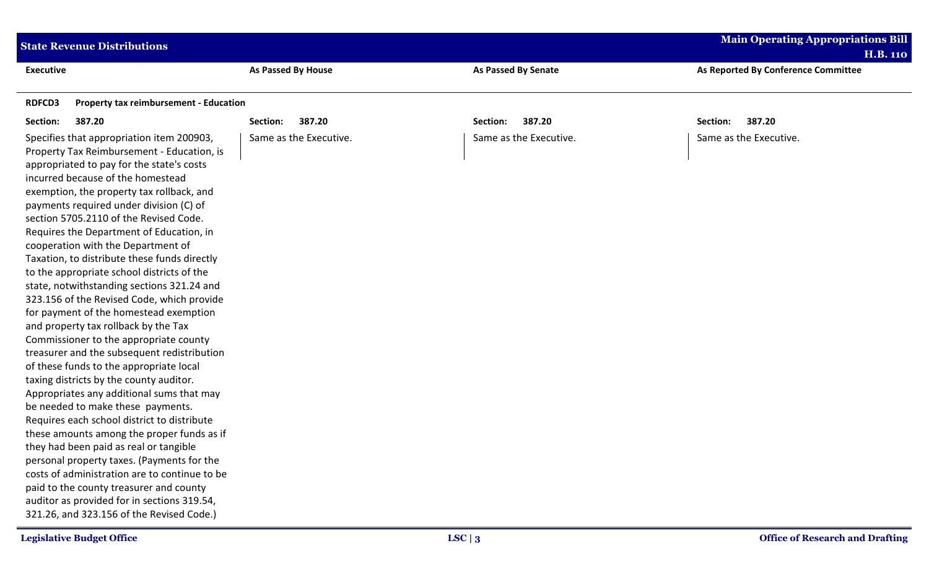|                  | <b>State Revenue Distributions</b>                                                                                                                                                                                                                                                                                                                                                                                                                                                                                                                                                                                                                                                                                                                                                                                                                                                                                                                                                                                                                                                                                                                                                                                                                                                                                      |                           |                            | <b>Main Operating Appropriations Bill</b> |
|------------------|-------------------------------------------------------------------------------------------------------------------------------------------------------------------------------------------------------------------------------------------------------------------------------------------------------------------------------------------------------------------------------------------------------------------------------------------------------------------------------------------------------------------------------------------------------------------------------------------------------------------------------------------------------------------------------------------------------------------------------------------------------------------------------------------------------------------------------------------------------------------------------------------------------------------------------------------------------------------------------------------------------------------------------------------------------------------------------------------------------------------------------------------------------------------------------------------------------------------------------------------------------------------------------------------------------------------------|---------------------------|----------------------------|-------------------------------------------|
|                  |                                                                                                                                                                                                                                                                                                                                                                                                                                                                                                                                                                                                                                                                                                                                                                                                                                                                                                                                                                                                                                                                                                                                                                                                                                                                                                                         |                           |                            | <b>H.B. 110</b>                           |
| <b>Executive</b> |                                                                                                                                                                                                                                                                                                                                                                                                                                                                                                                                                                                                                                                                                                                                                                                                                                                                                                                                                                                                                                                                                                                                                                                                                                                                                                                         | <b>As Passed By House</b> | <b>As Passed By Senate</b> | As Reported By Conference Committee       |
| <b>RDFCD3</b>    | <b>Property tax reimbursement - Education</b>                                                                                                                                                                                                                                                                                                                                                                                                                                                                                                                                                                                                                                                                                                                                                                                                                                                                                                                                                                                                                                                                                                                                                                                                                                                                           |                           |                            |                                           |
| Section:         | 387.20                                                                                                                                                                                                                                                                                                                                                                                                                                                                                                                                                                                                                                                                                                                                                                                                                                                                                                                                                                                                                                                                                                                                                                                                                                                                                                                  | 387.20<br>Section:        | 387.20<br>Section:         | 387.20<br>Section:                        |
|                  | Specifies that appropriation item 200903,<br>Property Tax Reimbursement - Education, is<br>appropriated to pay for the state's costs<br>incurred because of the homestead<br>exemption, the property tax rollback, and<br>payments required under division (C) of<br>section 5705.2110 of the Revised Code.<br>Requires the Department of Education, in<br>cooperation with the Department of<br>Taxation, to distribute these funds directly<br>to the appropriate school districts of the<br>state, notwithstanding sections 321.24 and<br>323.156 of the Revised Code, which provide<br>for payment of the homestead exemption<br>and property tax rollback by the Tax<br>Commissioner to the appropriate county<br>treasurer and the subsequent redistribution<br>of these funds to the appropriate local<br>taxing districts by the county auditor.<br>Appropriates any additional sums that may<br>be needed to make these payments.<br>Requires each school district to distribute<br>these amounts among the proper funds as if<br>they had been paid as real or tangible<br>personal property taxes. (Payments for the<br>costs of administration are to continue to be<br>paid to the county treasurer and county<br>auditor as provided for in sections 319.54,<br>321.26, and 323.156 of the Revised Code.) | Same as the Executive.    | Same as the Executive.     | Same as the Executive.                    |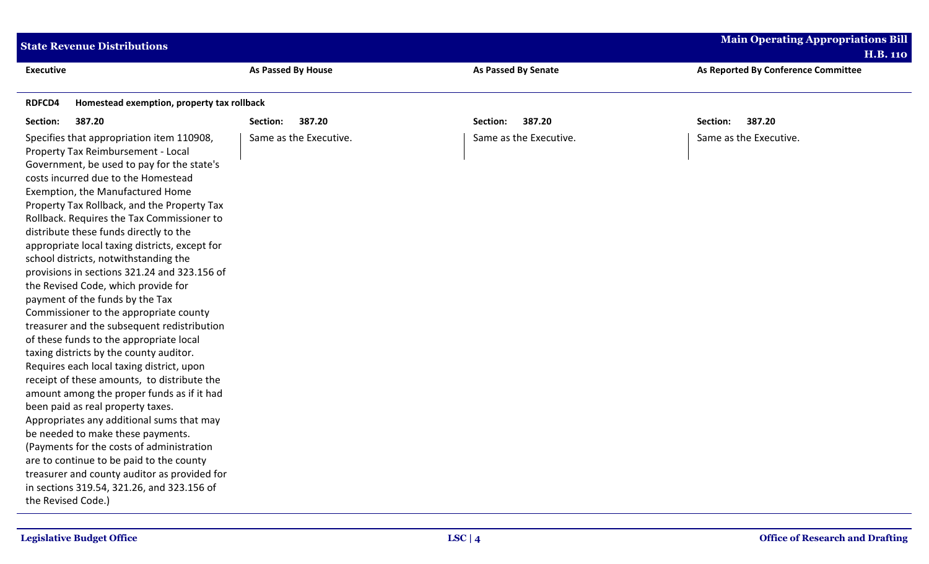| <b>State Revenue Distributions</b>                                                                                                                                                                                                                                                                                                                                                                                                                                                                                                                                                                                                                                                                                                                                                                                                                                                                                                                                                                                                                                                                                                                                                                                                |                        |                            | <b>Main Operating Appropriations Bill</b> |
|-----------------------------------------------------------------------------------------------------------------------------------------------------------------------------------------------------------------------------------------------------------------------------------------------------------------------------------------------------------------------------------------------------------------------------------------------------------------------------------------------------------------------------------------------------------------------------------------------------------------------------------------------------------------------------------------------------------------------------------------------------------------------------------------------------------------------------------------------------------------------------------------------------------------------------------------------------------------------------------------------------------------------------------------------------------------------------------------------------------------------------------------------------------------------------------------------------------------------------------|------------------------|----------------------------|-------------------------------------------|
|                                                                                                                                                                                                                                                                                                                                                                                                                                                                                                                                                                                                                                                                                                                                                                                                                                                                                                                                                                                                                                                                                                                                                                                                                                   |                        |                            | <b>H.B. 110</b>                           |
| <b>Executive</b>                                                                                                                                                                                                                                                                                                                                                                                                                                                                                                                                                                                                                                                                                                                                                                                                                                                                                                                                                                                                                                                                                                                                                                                                                  | As Passed By House     | <b>As Passed By Senate</b> | As Reported By Conference Committee       |
| <b>RDFCD4</b><br>Homestead exemption, property tax rollback                                                                                                                                                                                                                                                                                                                                                                                                                                                                                                                                                                                                                                                                                                                                                                                                                                                                                                                                                                                                                                                                                                                                                                       |                        |                            |                                           |
| Section:<br>387.20                                                                                                                                                                                                                                                                                                                                                                                                                                                                                                                                                                                                                                                                                                                                                                                                                                                                                                                                                                                                                                                                                                                                                                                                                | 387.20<br>Section:     | 387.20<br>Section:         | 387.20<br>Section:                        |
| Specifies that appropriation item 110908,<br>Property Tax Reimbursement - Local<br>Government, be used to pay for the state's<br>costs incurred due to the Homestead<br>Exemption, the Manufactured Home<br>Property Tax Rollback, and the Property Tax<br>Rollback. Requires the Tax Commissioner to<br>distribute these funds directly to the<br>appropriate local taxing districts, except for<br>school districts, notwithstanding the<br>provisions in sections 321.24 and 323.156 of<br>the Revised Code, which provide for<br>payment of the funds by the Tax<br>Commissioner to the appropriate county<br>treasurer and the subsequent redistribution<br>of these funds to the appropriate local<br>taxing districts by the county auditor.<br>Requires each local taxing district, upon<br>receipt of these amounts, to distribute the<br>amount among the proper funds as if it had<br>been paid as real property taxes.<br>Appropriates any additional sums that may<br>be needed to make these payments.<br>(Payments for the costs of administration<br>are to continue to be paid to the county<br>treasurer and county auditor as provided for<br>in sections 319.54, 321.26, and 323.156 of<br>the Revised Code.) | Same as the Executive. | Same as the Executive.     | Same as the Executive.                    |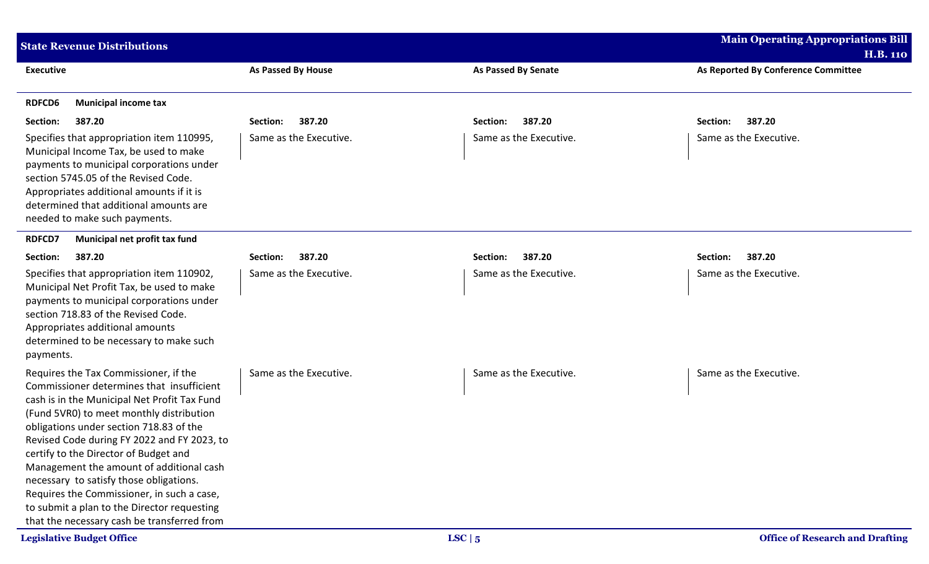| <b>State Revenue Distributions</b>                                                                                                                                                                                                                                                                                                                                                                                                                                                                                                                   |                           |                            | <b>Main Operating Appropriations Bill</b> |
|------------------------------------------------------------------------------------------------------------------------------------------------------------------------------------------------------------------------------------------------------------------------------------------------------------------------------------------------------------------------------------------------------------------------------------------------------------------------------------------------------------------------------------------------------|---------------------------|----------------------------|-------------------------------------------|
|                                                                                                                                                                                                                                                                                                                                                                                                                                                                                                                                                      |                           |                            | <b>H.B. 110</b>                           |
| <b>Executive</b>                                                                                                                                                                                                                                                                                                                                                                                                                                                                                                                                     | <b>As Passed By House</b> | <b>As Passed By Senate</b> | As Reported By Conference Committee       |
| <b>RDFCD6</b><br><b>Municipal income tax</b>                                                                                                                                                                                                                                                                                                                                                                                                                                                                                                         |                           |                            |                                           |
| 387.20<br>Section:                                                                                                                                                                                                                                                                                                                                                                                                                                                                                                                                   | 387.20<br>Section:        | 387.20<br>Section:         | 387.20<br>Section:                        |
| Specifies that appropriation item 110995,<br>Municipal Income Tax, be used to make<br>payments to municipal corporations under<br>section 5745.05 of the Revised Code.<br>Appropriates additional amounts if it is<br>determined that additional amounts are<br>needed to make such payments.                                                                                                                                                                                                                                                        | Same as the Executive.    | Same as the Executive.     | Same as the Executive.                    |
| <b>RDFCD7</b><br>Municipal net profit tax fund                                                                                                                                                                                                                                                                                                                                                                                                                                                                                                       |                           |                            |                                           |
| 387.20<br>Section:                                                                                                                                                                                                                                                                                                                                                                                                                                                                                                                                   | 387.20<br>Section:        | 387.20<br>Section:         | 387.20<br>Section:                        |
| Specifies that appropriation item 110902,<br>Municipal Net Profit Tax, be used to make<br>payments to municipal corporations under<br>section 718.83 of the Revised Code.<br>Appropriates additional amounts<br>determined to be necessary to make such<br>payments.                                                                                                                                                                                                                                                                                 | Same as the Executive.    | Same as the Executive.     | Same as the Executive.                    |
| Requires the Tax Commissioner, if the<br>Commissioner determines that insufficient<br>cash is in the Municipal Net Profit Tax Fund<br>(Fund 5VR0) to meet monthly distribution<br>obligations under section 718.83 of the<br>Revised Code during FY 2022 and FY 2023, to<br>certify to the Director of Budget and<br>Management the amount of additional cash<br>necessary to satisfy those obligations.<br>Requires the Commissioner, in such a case,<br>to submit a plan to the Director requesting<br>that the necessary cash be transferred from | Same as the Executive.    | Same as the Executive.     | Same as the Executive.                    |
| <b>Legislative Budget Office</b>                                                                                                                                                                                                                                                                                                                                                                                                                                                                                                                     |                           | LSC   5                    | <b>Office of Research and Drafting</b>    |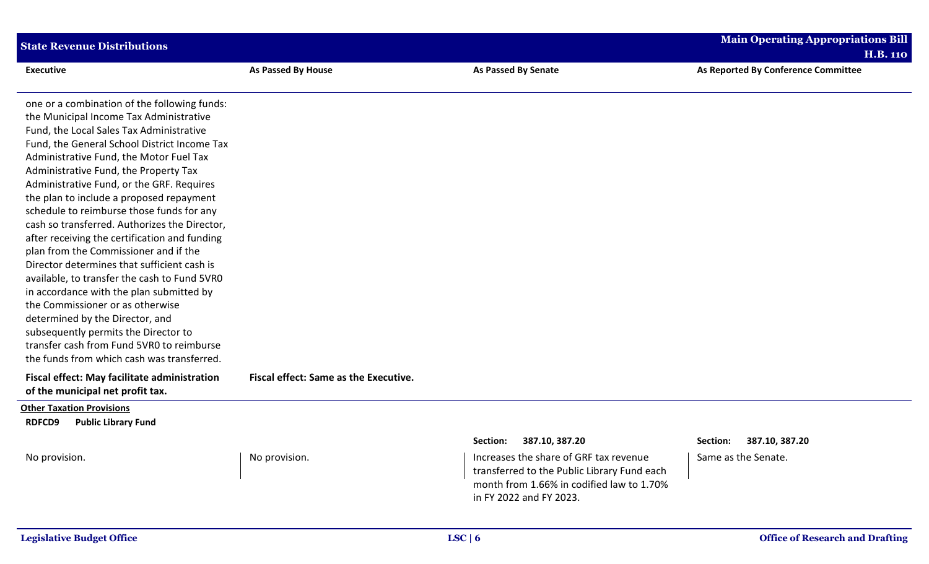| <b>State Revenue Distributions</b>                                                                                                                                                                                                                                                                                                                                                                                                                                                                                                                                                                                                                                                                                                                                                                                                                                                                            |                                       |                                                                                                                                                                                          | <b>Main Operating Appropriations Bill</b><br><b>H.B. 110</b> |
|---------------------------------------------------------------------------------------------------------------------------------------------------------------------------------------------------------------------------------------------------------------------------------------------------------------------------------------------------------------------------------------------------------------------------------------------------------------------------------------------------------------------------------------------------------------------------------------------------------------------------------------------------------------------------------------------------------------------------------------------------------------------------------------------------------------------------------------------------------------------------------------------------------------|---------------------------------------|------------------------------------------------------------------------------------------------------------------------------------------------------------------------------------------|--------------------------------------------------------------|
| <b>Executive</b>                                                                                                                                                                                                                                                                                                                                                                                                                                                                                                                                                                                                                                                                                                                                                                                                                                                                                              | <b>As Passed By House</b>             | <b>As Passed By Senate</b>                                                                                                                                                               | As Reported By Conference Committee                          |
| one or a combination of the following funds:<br>the Municipal Income Tax Administrative<br>Fund, the Local Sales Tax Administrative<br>Fund, the General School District Income Tax<br>Administrative Fund, the Motor Fuel Tax<br>Administrative Fund, the Property Tax<br>Administrative Fund, or the GRF. Requires<br>the plan to include a proposed repayment<br>schedule to reimburse those funds for any<br>cash so transferred. Authorizes the Director,<br>after receiving the certification and funding<br>plan from the Commissioner and if the<br>Director determines that sufficient cash is<br>available, to transfer the cash to Fund 5VR0<br>in accordance with the plan submitted by<br>the Commissioner or as otherwise<br>determined by the Director, and<br>subsequently permits the Director to<br>transfer cash from Fund 5VR0 to reimburse<br>the funds from which cash was transferred. |                                       |                                                                                                                                                                                          |                                                              |
| <b>Fiscal effect: May facilitate administration</b><br>of the municipal net profit tax.                                                                                                                                                                                                                                                                                                                                                                                                                                                                                                                                                                                                                                                                                                                                                                                                                       | Fiscal effect: Same as the Executive. |                                                                                                                                                                                          |                                                              |
| <b>Other Taxation Provisions</b><br><b>RDFCD9</b><br><b>Public Library Fund</b>                                                                                                                                                                                                                                                                                                                                                                                                                                                                                                                                                                                                                                                                                                                                                                                                                               |                                       |                                                                                                                                                                                          |                                                              |
| No provision.                                                                                                                                                                                                                                                                                                                                                                                                                                                                                                                                                                                                                                                                                                                                                                                                                                                                                                 | No provision.                         | Section: 387.10, 387.20<br>Increases the share of GRF tax revenue<br>transferred to the Public Library Fund each<br>month from 1.66% in codified law to 1.70%<br>in FY 2022 and FY 2023. | Section: 387.10, 387.20<br>Same as the Senate.               |